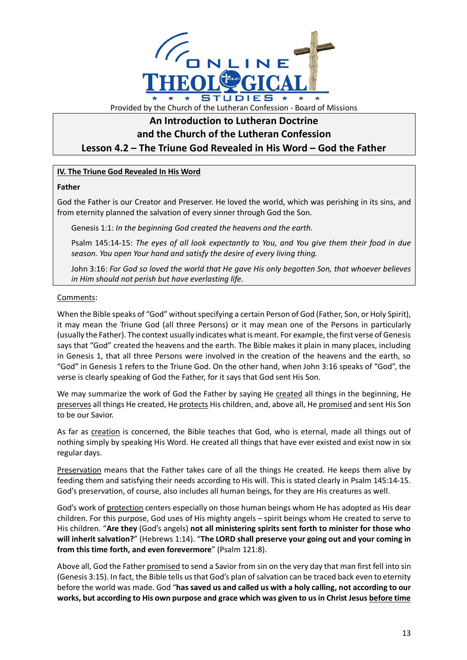

## Provided by the Church of the Lutheran Confession - Board of Missions

# **An Introduction to Lutheran Doctrine**

**and the Church of the Lutheran Confession**

**Lesson 4.2 – The Triune God Revealed in His Word – God the Father**

### **IV. The Triune God Revealed In His Word**

#### **Father**

God the Father is our Creator and Preserver. He loved the world, which was perishing in its sins, and from eternity planned the salvation of every sinner through God the Son.

Genesis 1:1: *In the beginning God created the heavens and the earth.*

Psalm 145:14-15: *The eyes of all look expectantly to You, and You give them their food in due season. You open Your hand and satisfy the desire of every living thing.*

John 3:16: *For God so loved the world that He gave His only begotten Son, that whoever believes in Him should not perish but have everlasting life.*

#### Comments:

When the Bible speaks of "God" without specifying a certain Person of God (Father, Son, or Holy Spirit), it may mean the Triune God (all three Persons) or it may mean one of the Persons in particularly (usually the Father). The context usually indicates what is meant. For example, the first verse of Genesis says that "God" created the heavens and the earth. The Bible makes it plain in many places, including in Genesis 1, that all three Persons were involved in the creation of the heavens and the earth, so "God" in Genesis 1 refers to the Triune God. On the other hand, when John 3:16 speaks of "God", the verse is clearly speaking of God the Father, for it says that God sent His Son.

We may summarize the work of God the Father by saying He created all things in the beginning, He preserves all things He created, He protects His children, and, above all, He promised and sent His Son to be our Savior.

As far as creation is concerned, the Bible teaches that God, who is eternal, made all things out of nothing simply by speaking His Word. He created all things that have ever existed and exist now in six regular days.

Preservation means that the Father takes care of all the things He created. He keeps them alive by feeding them and satisfying their needs according to His will. This is stated clearly in Psalm 145:14-15. God's preservation, of course, also includes all human beings, for they are His creatures as well.

God's work of protection centers especially on those human beings whom He has adopted as His dear children. For this purpose, God uses of His mighty angels – spirit beings whom He created to serve to His children. "**Are they** (God's angels) **not all ministering spirits sent forth to minister for those who will inherit salvation?**" (Hebrews 1:14). "**The LORD shall preserve your going out and your coming in from this time forth, and even forevermore**" (Psalm 121:8).

Above all, God the Father promised to send a Savior from sin on the very day that man first fell into sin (Genesis 3:15). In fact, the Bible tells us that God's plan of salvation can be traced back even to eternity before the world was made. God "**has saved us and called us with a holy calling, not according to our works, but according to His own purpose and grace which was given to us in Christ Jesus before time**